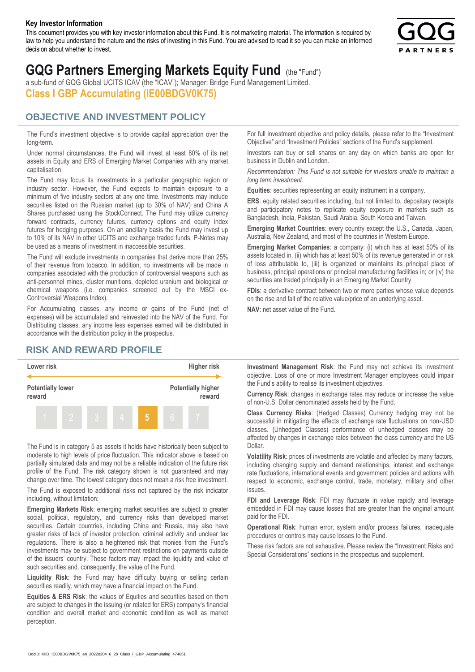#### **Key Investor Information**

This document provides you with key investor information about this Fund. It is not marketing material. The information is required by law to help you understand the nature and the risks of investing in this Fund. You are advised to read it so you can make an informed decision about whether to invest.



# **GQG Partners Emerging Markets Equity Fund** (the "Fund")

a sub-fund of GQG Global UCITS ICAV (the "ICAV"); Manager: Bridge Fund Management Limited. **Class I GBP Accumulating (IE00BDGV0K75)**

#### **OBJECTIVE AND INVESTMENT POLICY**

The Fund's investment objective is to provide capital appreciation over the long-term.

Under normal circumstances, the Fund will invest at least 80% of its net assets in Equity and ERS of Emerging Market Companies with any market capitalisation.

The Fund may focus its investments in a particular geographic region or industry sector. However, the Fund expects to maintain exposure to a minimum of five industry sectors at any one time. Investments may include securities listed on the Russian market (up to 30% of NAV) and China A Shares purchased using the StockConnect. The Fund may utilize currency forward contracts, currency futures, currency options and equity index futures for hedging purposes. On an ancillary basis the Fund may invest up to 10% of its NAV in other UCITS and exchange traded funds. P-Notes may be used as a means of investment in inaccessible securities.

The Fund will exclude investments in companies that derive more than 25% of their revenue from tobacco. In addition, no investments will be made in companies associated with the production of controversial weapons such as anti-personnel mines, cluster munitions, depleted uranium and biological or chemical weapons (i.e. companies screened out by the MSCI ex-Controversial Weapons Index).

For Accumulating classes, any income or gains of the Fund (net of expenses) will be accumulated and reinvested into the NAV of the Fund. For Distributing classes, any income less expenses earned will be distributed in accordance with the distribution policy in the prospectus.

### **RISK AND REWARD PROFILE**



The Fund is in category 5 as assets it holds have historically been subject to moderate to high levels of price fluctuation. This indicator above is based on partially simulated data and may not be a reliable indication of the future risk profile of the Fund. The risk category shown is not guaranteed and may change over time. The lowest category does not mean a risk free investment.

The Fund is exposed to additional risks not captured by the risk indicator including, without limitation:

**Emerging Markets Risk**: emerging market securities are subject to greater social, political, regulatory, and currency risks than developed market securities. Certain countries, including China and Russia, may also have greater risks of lack of investor protection, criminal activity and unclear tax regulations. There is also a heightened risk that monies from the Fund's investments may be subject to government restrictions on payments outside of the issuers' country. These factors may impact the liquidity and value of such securities and, consequently, the value of the Fund.

**Liquidity Risk**: the Fund may have difficulty buying or selling certain securities readily, which may have a financial impact on the Fund.

**Equities & ERS Risk**: the values of Equities and securities based on them are subject to changes in the issuing (or related for ERS) company's financial condition and overall market and economic condition as well as market perception.

For full investment objective and policy details, please refer to the "Investment Objective" and "Investment Policies" sections of the Fund's supplement.

Investors can buy or sell shares on any day on which banks are open for business in Dublin and London.

*Recommendation: This Fund is not suitable for investors unable to maintain a long term investment.*

**Equities**: securities representing an equity instrument in a company.

**ERS:** equity related securities including, but not limited to, depositary receipts and participatory notes to replicate equity exposure in markets such as Bangladesh, India, Pakistan, Saudi Arabia, South Korea and Taiwan.

**Emerging Market Countries**: every country except the U.S., Canada, Japan, Australia, New Zealand, and most of the countries in Western Europe.

**Emerging Market Companies**: a company: (i) which has at least 50% of its assets located in, (ii) which has at least 50% of its revenue generated in or risk of loss attributable to, (iii) is organized or maintains its principal place of business, principal operations or principal manufacturing facilities in; or (iv) the securities are traded principally in an Emerging Market Country.

**FDIs**: a derivative contract between two or more parties whose value depends on the rise and fall of the relative value/price of an underlying asset.

**NAV**: net asset value of the Fund.

**Investment Management Risk**: the Fund may not achieve its investment objective. Loss of one or more Investment Manager employees could impair the Fund's ability to realise its investment objectives.

**Currency Risk**: changes in exchange rates may reduce or increase the value of non-U.S. Dollar denominated assets held by the Fund.

**Class Currency Risks**: (Hedged Classes) Currency hedging may not be successful in mitigating the effects of exchange rate fluctuations on non-USD classes. (Unhedged Classes) performance of unhedged classes may be affected by changes in exchange rates between the class currency and the US Dollar.

**Volatility Risk**: prices of investments are volatile and affected by many factors, including changing supply and demand relationships, interest and exchange rate fluctuations, international events and government policies and actions with respect to economic, exchange control, trade, monetary, military and other issues.

**FDI and Leverage Risk**: FDI may fluctuate in value rapidly and leverage embedded in FDI may cause losses that are greater than the original amount paid for the FDI.

**Operational Risk**: human error, system and/or process failures, inadequate procedures or controls may cause losses to the Fund.

These risk factors are not exhaustive. Please review the "Investment Risks and Special Considerations" sections in the prospectus and supplement.